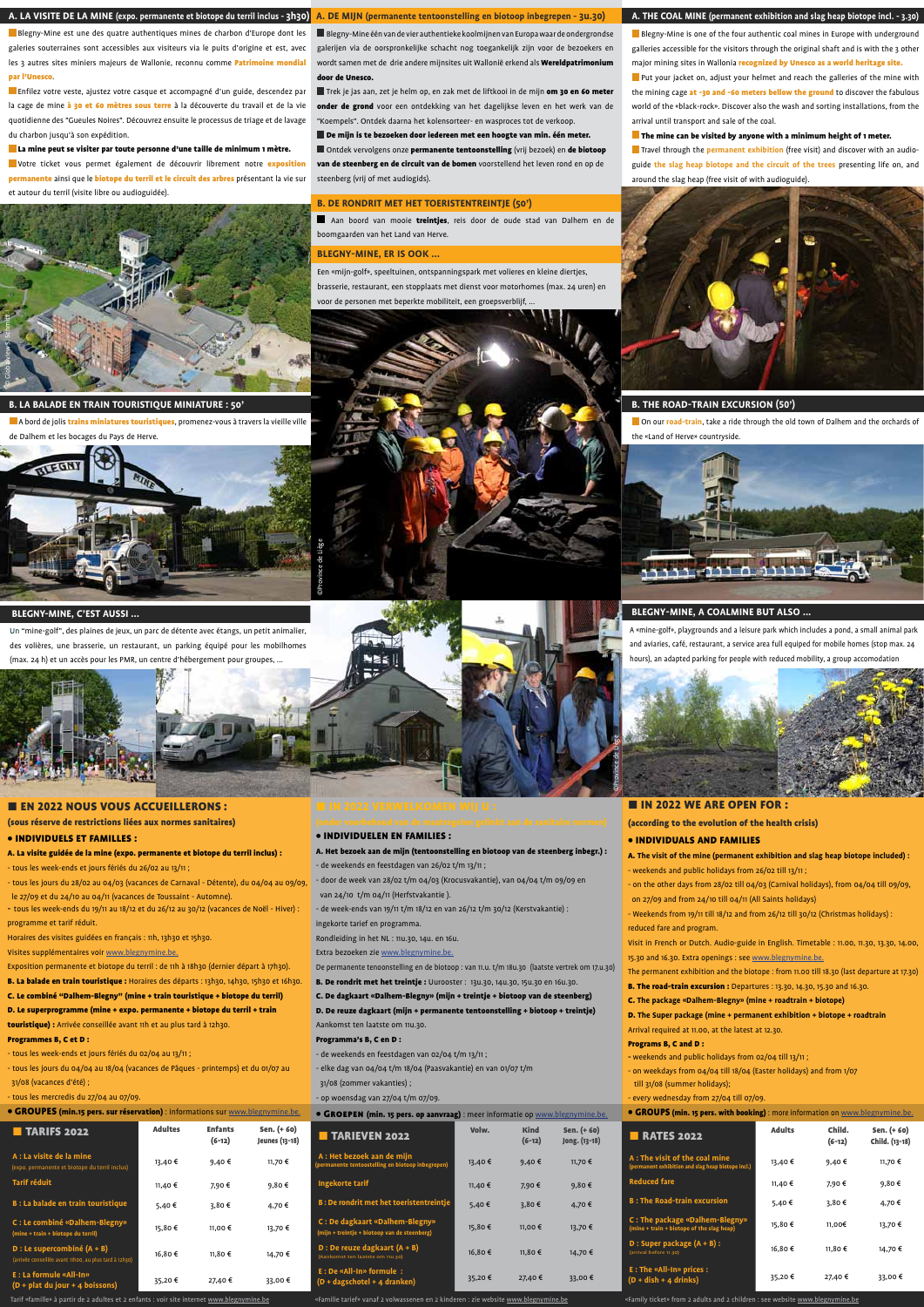**Put your jacket on, adjust your helmet and reach the galleries of the mine with** the mining cage at -30 and -60 meters bellow the ground to discover the fabulous world of the «black-rock». Discover also the wash and sorting installations, from the arrival until transport and sale of the coal.

### $\blacksquare$  The mine can be visited by anyone with a minimum height of 1 meter.

Travel through the **permanent exhibition** (free visit) and discover with an audioguide **the slag heap biotope and the circuit of the trees** presenting life on, and around the slag heap (free visit of with audioguide).



# **A. THE COAL MINE (permanent exhibition and slag heap biotope incl. - 3.30)**

Blegny-Mine is one of the four authentic coal mines in Europe with underground galleries accessible for the visitors through the original shaft and is with the 3 other major mining sites in Wallonia recognized by Unesco as a world heritage site.

## **B. The road-train excursion (50')**

(according to the evolution of the health crisis)

B. The road-train excursion : Departures : 13.30, 14.30, 15.30 and 16.30. C. **The package «Dalhem-Blegny» (mine + roadtrain + biotope)** D. **The Super package (mine + permanent exhibition + biotope + roadtrain**  Arrival required at 11.00, at the latest at 12.30. Programs B, C and D : **-** weekends and public holidays from 02/04 till 13/11 ;

# • INDIVIDUALS AND FAMILIES

- A. **The visit of the mine (permanent exhibition and slag heap biotope included) :** - weekends and public holidays from 26/02 till 13/11 ;
- on the other days from 28/02 till 04/03 (Carnival holidays), from 04/04 till 09/09, on 27/09 and from 24/10 till 04/11 (All Saints holidays)
- Weekends from 19/11 till 18/12 and from 26/12 till 30/12 (Christmas holidays) : reduced fare and program.
- Visit in French or Dutch. Audio-guide in English. Timetable : 11.00, 11.30, 13.30, 14.00, 15.30 and 16.30. Extra openings : see www.blegnymine.be.
- The permanent exhibition and the biotope : from 11.00 till 18.30 (last departure at 17.30)

Enfilez votre veste, ajustez votre casque et accompagné d'un guide, descendez par la cage de mine à 30 et 60 mètres sous terre à la découverte du travail et de la vie quotidienne des "Gueules Noires". Découvrez ensuite le processus de triage et de lavage du charbon jusqu'à son expédition.

La mine peut se visiter par toute personne d'une taille de minimum 1 mètre.

Votre ticket vous permet également de découvrir librement notre exposition permanente ainsi que le **biotope du terril et le circuit des arbres** présentant la vie sur et autour du terril (visite libre ou audioguidée).

- on weekdays from 04/04 till 18/04 (Easter holidays) and from 1/07 till 31/08 (summer holidays);
- every wednesday from 27/04 till 07/09.

Trek je jas aan, zet je helm op, en zak met de liftkooi in de mijn om 30 en 60 meter onder de grond voor een ontdekking van het dagelijkse leven en het werk van de "Koempels". Ontdek daarna het kolensorteer- en wasproces tot de verkoop.

| <b>• GROUPS (min. 15 pers. with booking)</b> : more information on www.blegnymine.be. |  |
|---------------------------------------------------------------------------------------|--|
|---------------------------------------------------------------------------------------|--|

Blegny-Mine est une des quatre authentiques mines de charbon d'Europe dont les galeries souterraines sont accessibles aux visiteurs via le puits d'origine et est, avec les 3 autres sites miniers majeurs de Wallonie, reconnu comme *Patrimoine mondial* par l'Unesco.

- Individuelen en families :
- A. Het bezoek aan de mijn (tentoonstelling en biotoop van de steenberg inbegr.) : - de weekends en feestdagen van 26/02 t/m 13/11 ;
- door de week van 28/02 t/m 04/03 (Krocusvakantie), van 04/04 t/m 09/09 en van 24/10 t/m 04/11 (Herfstvakantie ).
- de week-ends van 19/11 t/m 18/12 en van 26/12 t/m 30/12 (Kerstvakantie) :
- ingekorte tarief en programma.
- Rondleiding in het NL : 11u.30, 14u. en 16u.
- Extra bezoeken zie www.blegnymine.be.
- De permanente tenoonstelling en de biotoop : van 11.u. t/m 18u.30 (laatste vertrek om 17.u.30) B. De rondrit met het treintje : Uurooster : 13u.30, 14u.30, 15u.30 en 16u.30.
	-

**A. LA VISITE DE LA MINE (expo. permanente et biotope du terril inclus - 3h30)**

Aan boord van mooie treintjes, reis door de oude stad van Dalhem en de boomgaarden van het Land van Herve.

- A. La visite guidée de la mine (expo. permanente et biotope du terril inclus) : - tous les week-ends et jours fériés du 26/02 au 13/11 ;
- tous les jours du 28/02 au 04/03 (vacances de Carnaval Détente), du 04/04 au 09/09, le 27/09 et du 24/10 au 04/11 (vacances de Toussaint - Automne).
- tous les week-ends du 19/11 au 18/12 et du 26/12 au 30/12 (vacances de Noël Hiver) : programme et tarif réduit.
- Horaires des visites guidées en français : 11h, 13h30 et 15h30.
- Visites supplémentaires voir www.blegnymine.be.
- Exposition permanente et biotope du terril : de 11h à 18h30 (dernier départ à 17h30).
- B. La balade en train touristique : Horaires des départs : 13h30, 14h30, 15h30 et 16h30

| <b>TARIFS 2022</b>                                                                       | <b>Adultes</b> | <b>Enfants</b><br>$(6-12)$ | Sen. (+ 60)<br>Jeunes (13-18 |
|------------------------------------------------------------------------------------------|----------------|----------------------------|------------------------------|
| A : La visite de la mine<br>(expo. permanente et biotope du terril inclus)               | 13,40 €        | 9,40€                      | 11,70€                       |
| <b>Tarif réduit</b>                                                                      | 11,40 €        | 7,90€                      | 9,80€                        |
| <b>B</b> : La balade en train touristique                                                | 5,40€          | 3,80€                      | 4,70 €                       |
| C : Le combiné «Dalhem-Blegny»<br>(mine + train + biotope du terril)                     | 15,80€         | 11.00€                     | 13,70€                       |
| $D:$ Le supercombiné $(A + B)$<br>(arrivée conseillée avant 11h00, au plus tard à 12h30) | 16,80€         | 11.80€                     | 14,70€                       |
| <b>E: La formule «All-In»</b><br>$(D + plat du jour + 4 boissons)$                       | 35,20€         | 27,40€                     | 33,00€                       |

- tous les week-ends et jours fériés du 02/04 au 13/11 ;
- tous les jours du 04/04 au 18/04 (vacances de Pâques printemps) et du 01/07 au 31/08 (vacances d'été) ;
- tous les mercredis du 27/04 au 07/09.
- GROUPES (min.15 pers. sur réservation) : informations sur www.bleg

Blegny-Mine één van de vier authentieke koolmijnen van Europa waar de ondergrondse galerijen via de oorspronkelijke schacht nog toegankelijk zijn voor de bezoekers en wordt samen met de drie andere mijnsites uit Wallonië erkend als **Wereldpatrimonium** door de Unesco.

| <u>,,,,,,,,,,,,,,,,</u>       | <b>• GROEPEN (min. 15 pers. op aanvraag)</b> : meer informatie op <u>www.biegnymine.be.</u> |         |                         |                             |  |
|-------------------------------|---------------------------------------------------------------------------------------------|---------|-------------------------|-----------------------------|--|
| Sen. (+ 60)<br>Jeunes (13-18) | <b>TARIEVEN 2022</b>                                                                        | Volw.   | <b>Kind</b><br>$(6-12)$ | Sen. (+60)<br>Jong. (13-18) |  |
| 11,70 €                       | A: Het bezoek aan de mijn<br>(permanente tentoostelling en biotoop inbegrepen)              | 13,40 € | 9,40€                   | 11,70 €                     |  |
| 9,80€                         | Ingekorte tarif                                                                             | 11,40 € | 7,90 €                  | 9,80€                       |  |
| 4,70 €                        | <b>B: De rondrit met het toeristentreintje</b>                                              | 5,40€   | 3,80€                   | 4,70€                       |  |
| 13,70€                        | C: De dagkaart «Dalhem-Blegny»<br>(mijn + treintje + biotoop van de steenberg)              | 15,80€  | 11.00 €                 | 13,70€                      |  |
| 14,70 €                       | D : De reuze dagkaart $(A + B)$<br>(Aankomst ten laatste om 11u.30)                         | 16,80€  | 11,80 €                 | 14,70 €                     |  |
| 33,00 €                       | E : De «All-In» formule :<br>$(D + dagschotel + 4$ dranken)                                 | 35,20€  | 27,40 €                 | 33,00€                      |  |

De mijn is te bezoeken door iedereen met een hoogte van min. één meter.

Een «mijn-golf», speeltuinen, ontspanningspark met volieres en kleine diertjes, brasserie, restaurant, een stopplaats met dienst voor motorhomes (max. 24 uren) en voor de personen met beperkte mobiliteit, een groepsverblijf,



Ontdek vervolgens onze permanente tentoonstelling (vrij bezoek) en de biotoop van de steenberg en de circuit van de bomen voorstellend het leven rond en op de steenberg (vrij of met audiogids).

**A. DE MIJN (permanente tentoonstelling en biotoop inbegrepen - 3u.30)**

C. De dagkaart «Dalhem-Blegny» (mijn + treintje + biotoop van de steenberg) D. De reuze dagkaart (mijn + permanente tentoonstelling + biotoop + treintje) Aankomst ten laatste om 11u.30.

#### Programma's B, C en D :

- de weekends en feestdagen van 02/04 t/m 13/11 ;
- elke dag van 04/04 t/m 18/04 (Paasvakantie) en van 01/07 t/m 31/08 (zommer vakanties) ;
- op woensdag van 27/04 t/m 07/09.

**• GROEPEN (min. 15 pers. op aanvraag)** : meer informatie op www.blegnymine.be.

On our **road-train**, take a ride through the old town of Dalhem and the orchards of the «Land of Herve» countryside.

![](_page_0_Picture_40.jpeg)

#### **B. DE RONDRIT MET HET TOERISTENTREINTJE (50')**

# (sous réserve de restrictions liées aux normes sanitaires)

# • Individuels et familles :

| C. Le combiné "Dalhem-Blegny" (mine + train touristique + biotope du terril) |  |  |  |
|------------------------------------------------------------------------------|--|--|--|
| D. Le superprogramme (mine + expo. permanente + biotope du terril + train    |  |  |  |
| <b>touristique):</b> Arrivée conseillée avant 11h et au plus tard à 12h30.   |  |  |  |
| <b>Programmes B. C et D:</b>                                                 |  |  |  |

**B. LA BALADE EN TRAIN TOURISTIQUE MINIATURE : 50'**

A bord de jolis trains miniatures touristiques, promenez-vous à travers la vieille ville

de Dalhem et les bocages du Pays de Herve.

Un "mine-golf", des plaines de jeux, un parc de détente avec étangs, un petit animalier, des volières, une brasserie, un restaurant, un parking équipé pour les mobilhomes (max. 24 h) et un accès pour les PMR, un centre d'hébergement pour groupes, ...

![](_page_0_Picture_12.jpeg)

# **E EN 2022 NOUS VOUS ACCUEILLERONS :**

## **BLEGNY-MINE, C'EST AUSSI ...**

#### **Blegny-Mine, er is ook ...**

«Familie tarief» vanaf 2 volwassenen en 2 kinderen : zie website www.blegnymine.be

## **Blegny-Mine, a coalmine but also ...**

A «mine-golf», playgrounds and a leisure park which includes a pond, a small animal park and aviaries, café, restaurant, a service area full equiped for mobile homes (stop max. 24 hours), an adapted parking for people with reduced mobility, a group accomodation

![](_page_0_Picture_43.jpeg)

# **E IN 2022 WE ARE OPEN FOR :**

| <b>RATES 2022</b>                                                                   | <b>Adults</b> | Child.<br>$(6-12)$ | Sen. (+ 60)<br>Child. (13-18) |
|-------------------------------------------------------------------------------------|---------------|--------------------|-------------------------------|
| A: The visit of the coal mine<br>(permanent exhibition and slag heap biotope incl.) | 13,40 €       | 9,40 €             | 11,70€                        |
| <b>Reduced fare</b>                                                                 | 11,40 €       | 7,90€              | 9,80€                         |
| <b>B</b> : The Road-train excursion                                                 | 5,40€         | 3,80€              | 4,70 €                        |
| C: The package «Dalhem-Blegny»<br>(mine + train + biotope of the slag heap)         | 15,80€        | 11,00€             | 13,70€                        |
| $D: Super package (A + B):$<br>(arrival before 11.30)                               | 16,80€        | 11,80€             | 14,70 €                       |
| <b>E</b> : The «All-In» prices :<br>$(D + dish + 4$ drinks)                         | 35,20€        | 27,40 €            | 33,00€                        |

Tarif «famille» à partir de 2 adultes et 2 enfants : voir site internet www.blegnymine.be

«Family ticket» from 2 adults and 2 children : see website www.blegnymine.be

![](_page_0_Picture_52.jpeg)

![](_page_0_Picture_5.jpeg)

![](_page_0_Picture_9.jpeg)